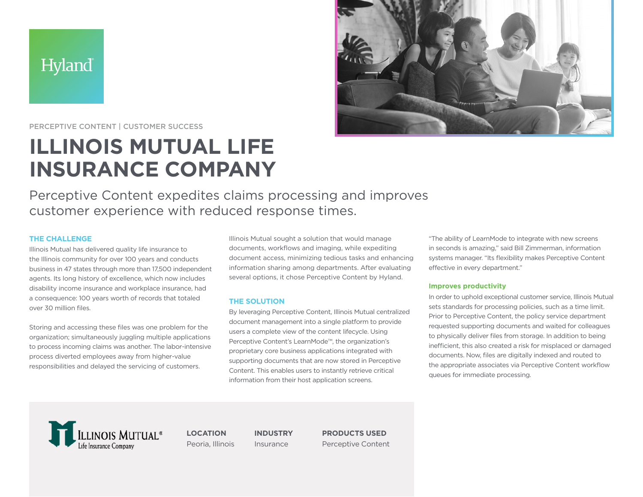



PERCEPTIVE CONTENT | CUSTOMER SUCCESS

# **ILLINOIS MUTUAL LIFE INSURANCE COMPANY**

Perceptive Content expedites claims processing and improves customer experience with reduced response times.

# **THE CHALLENGE**

Illinois Mutual has delivered quality life insurance to the Illinois community for over 100 years and conducts business in 47 states through more than 17,500 independent agents. Its long history of excellence, which now includes disability income insurance and workplace insurance, had a consequence: 100 years worth of records that totaled over 30 million files.

Storing and accessing these files was one problem for the organization; simultaneously juggling multiple applications to process incoming claims was another. The labor-intensive process diverted employees away from higher-value responsibilities and delayed the servicing of customers.

Illinois Mutual sought a solution that would manage documents, workflows and imaging, while expediting document access, minimizing tedious tasks and enhancing information sharing among departments. After evaluating several options, it chose Perceptive Content by Hyland.

# **THE SOLUTION**

By leveraging Perceptive Content, Illinois Mutual centralized document management into a single platform to provide users a complete view of the content lifecycle. Using Perceptive Content's LearnMode™, the organization's proprietary core business applications integrated with supporting documents that are now stored in Perceptive Content. This enables users to instantly retrieve critical information from their host application screens.

"The ability of LearnMode to integrate with new screens in seconds is amazing," said Bill Zimmerman, information systems manager. "Its flexibility makes Perceptive Content effective in every department."

# **Improves productivity**

In order to uphold exceptional customer service, Illinois Mutual sets standards for processing policies, such as a time limit. Prior to Perceptive Content, the policy service department requested supporting documents and waited for colleagues to physically deliver files from storage. In addition to being inefficient, this also created a risk for misplaced or damaged documents. Now, files are digitally indexed and routed to the appropriate associates via Perceptive Content workflow queues for immediate processing.



**LOCATION** Peoria, Illinois

**INDUSTRY** Insurance

**PRODUCTS USED**  Perceptive Content